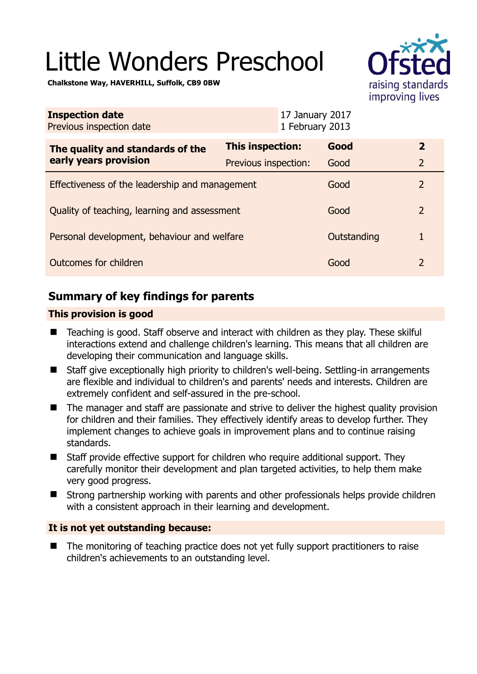# Little Wonders Preschool



**Chalkstone Way, HAVERHILL, Suffolk, CB9 0BW** 

| <b>Inspection date</b><br>Previous inspection date        |                      | 17 January 2017<br>1 February 2013 |             |                         |
|-----------------------------------------------------------|----------------------|------------------------------------|-------------|-------------------------|
| The quality and standards of the<br>early years provision | This inspection:     |                                    | Good        | $\overline{\mathbf{2}}$ |
|                                                           | Previous inspection: |                                    | Good        | $\overline{2}$          |
| Effectiveness of the leadership and management            |                      |                                    | Good        | $\overline{2}$          |
| Quality of teaching, learning and assessment              |                      |                                    | Good        | $\overline{2}$          |
| Personal development, behaviour and welfare               |                      |                                    | Outstanding | 1                       |
| Outcomes for children                                     |                      |                                    | Good        | 2                       |

# **Summary of key findings for parents**

## **This provision is good**

- Teaching is good. Staff observe and interact with children as they play. These skilful interactions extend and challenge children's learning. This means that all children are developing their communication and language skills.
- Staff give exceptionally high priority to children's well-being. Settling-in arrangements are flexible and individual to children's and parents' needs and interests. Children are extremely confident and self-assured in the pre-school.
- The manager and staff are passionate and strive to deliver the highest quality provision for children and their families. They effectively identify areas to develop further. They implement changes to achieve goals in improvement plans and to continue raising standards.
- Staff provide effective support for children who require additional support. They carefully monitor their development and plan targeted activities, to help them make very good progress.
- Strong partnership working with parents and other professionals helps provide children with a consistent approach in their learning and development.

## **It is not yet outstanding because:**

 The monitoring of teaching practice does not yet fully support practitioners to raise children's achievements to an outstanding level.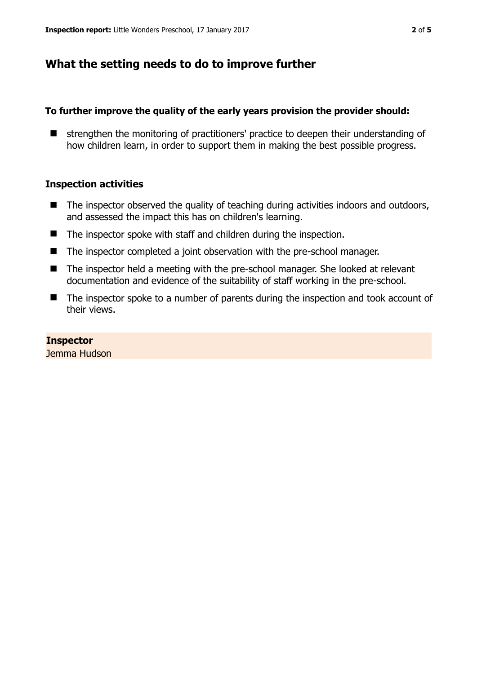# **What the setting needs to do to improve further**

#### **To further improve the quality of the early years provision the provider should:**

**E** strengthen the monitoring of practitioners' practice to deepen their understanding of how children learn, in order to support them in making the best possible progress.

#### **Inspection activities**

- $\blacksquare$  The inspector observed the quality of teaching during activities indoors and outdoors, and assessed the impact this has on children's learning.
- The inspector spoke with staff and children during the inspection.
- The inspector completed a joint observation with the pre-school manager.
- The inspector held a meeting with the pre-school manager. She looked at relevant documentation and evidence of the suitability of staff working in the pre-school.
- The inspector spoke to a number of parents during the inspection and took account of their views.

#### **Inspector**

Jemma Hudson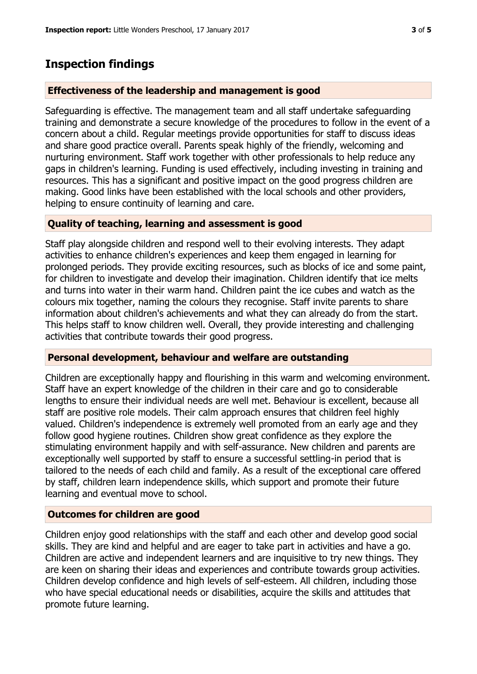## **Inspection findings**

#### **Effectiveness of the leadership and management is good**

Safeguarding is effective. The management team and all staff undertake safeguarding training and demonstrate a secure knowledge of the procedures to follow in the event of a concern about a child. Regular meetings provide opportunities for staff to discuss ideas and share good practice overall. Parents speak highly of the friendly, welcoming and nurturing environment. Staff work together with other professionals to help reduce any gaps in children's learning. Funding is used effectively, including investing in training and resources. This has a significant and positive impact on the good progress children are making. Good links have been established with the local schools and other providers, helping to ensure continuity of learning and care.

### **Quality of teaching, learning and assessment is good**

Staff play alongside children and respond well to their evolving interests. They adapt activities to enhance children's experiences and keep them engaged in learning for prolonged periods. They provide exciting resources, such as blocks of ice and some paint, for children to investigate and develop their imagination. Children identify that ice melts and turns into water in their warm hand. Children paint the ice cubes and watch as the colours mix together, naming the colours they recognise. Staff invite parents to share information about children's achievements and what they can already do from the start. This helps staff to know children well. Overall, they provide interesting and challenging activities that contribute towards their good progress.

#### **Personal development, behaviour and welfare are outstanding**

Children are exceptionally happy and flourishing in this warm and welcoming environment. Staff have an expert knowledge of the children in their care and go to considerable lengths to ensure their individual needs are well met. Behaviour is excellent, because all staff are positive role models. Their calm approach ensures that children feel highly valued. Children's independence is extremely well promoted from an early age and they follow good hygiene routines. Children show great confidence as they explore the stimulating environment happily and with self-assurance. New children and parents are exceptionally well supported by staff to ensure a successful settling-in period that is tailored to the needs of each child and family. As a result of the exceptional care offered by staff, children learn independence skills, which support and promote their future learning and eventual move to school.

#### **Outcomes for children are good**

Children enjoy good relationships with the staff and each other and develop good social skills. They are kind and helpful and are eager to take part in activities and have a go. Children are active and independent learners and are inquisitive to try new things. They are keen on sharing their ideas and experiences and contribute towards group activities. Children develop confidence and high levels of self-esteem. All children, including those who have special educational needs or disabilities, acquire the skills and attitudes that promote future learning.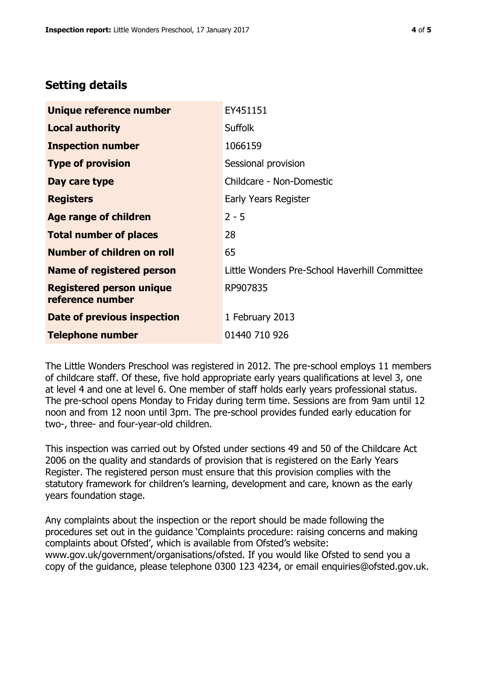# **Setting details**

| Unique reference number                             | EY451151                                      |  |
|-----------------------------------------------------|-----------------------------------------------|--|
| <b>Local authority</b>                              | <b>Suffolk</b>                                |  |
| <b>Inspection number</b>                            | 1066159                                       |  |
| <b>Type of provision</b>                            | Sessional provision                           |  |
| Day care type                                       | Childcare - Non-Domestic                      |  |
| <b>Registers</b>                                    | Early Years Register                          |  |
| <b>Age range of children</b>                        | $2 - 5$                                       |  |
| <b>Total number of places</b>                       | 28                                            |  |
| <b>Number of children on roll</b>                   | 65                                            |  |
| Name of registered person                           | Little Wonders Pre-School Haverhill Committee |  |
| <b>Registered person unique</b><br>reference number | RP907835                                      |  |
| Date of previous inspection                         | 1 February 2013                               |  |
| <b>Telephone number</b>                             | 01440 710 926                                 |  |

The Little Wonders Preschool was registered in 2012. The pre-school employs 11 members of childcare staff. Of these, five hold appropriate early years qualifications at level 3, one at level 4 and one at level 6. One member of staff holds early years professional status. The pre-school opens Monday to Friday during term time. Sessions are from 9am until 12 noon and from 12 noon until 3pm. The pre-school provides funded early education for two-, three- and four-year-old children.

This inspection was carried out by Ofsted under sections 49 and 50 of the Childcare Act 2006 on the quality and standards of provision that is registered on the Early Years Register. The registered person must ensure that this provision complies with the statutory framework for children's learning, development and care, known as the early years foundation stage.

Any complaints about the inspection or the report should be made following the procedures set out in the guidance 'Complaints procedure: raising concerns and making complaints about Ofsted', which is available from Ofsted's website: www.gov.uk/government/organisations/ofsted. If you would like Ofsted to send you a copy of the guidance, please telephone 0300 123 4234, or email enquiries@ofsted.gov.uk.